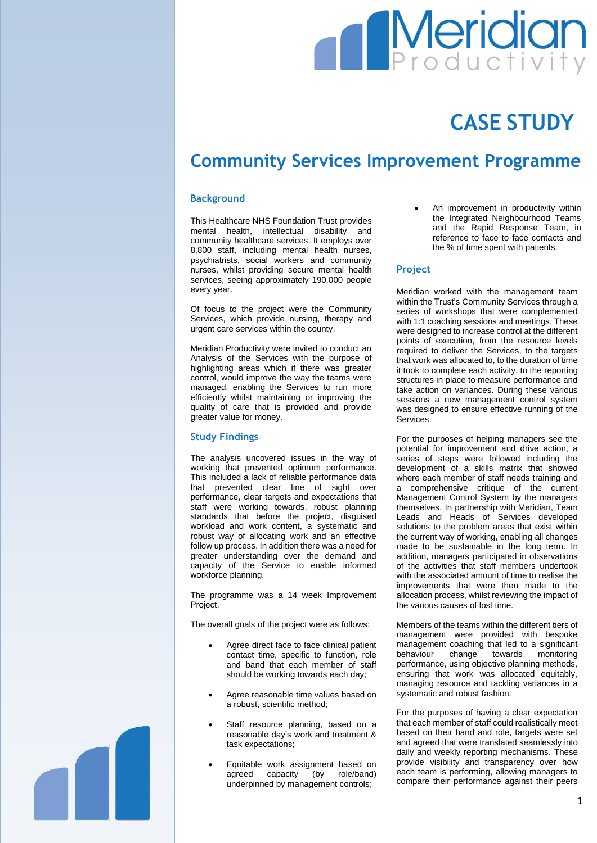# **Meridian**

## **CASE STUDY**

### **Community Services Improvement Programme**

#### **Background**

This Healthcare NHS Foundation Trust provides mental health, intellectual disability and community healthcare services. It employs over 8,800 staff, including mental health nurses, psychiatrists, social workers and community nurses, whilst providing secure mental health services, seeing approximately 190,000 people every year.

Of focus to the project were the Community Services, which provide nursing, therapy and urgent care services within the county.

Meridian Productivity were invited to conduct an Analysis of the Services with the purpose of highlighting areas which if there was greater control, would improve the way the teams were managed, enabling the Services to run more efficiently whilst maintaining or improving the quality of care that is provided and provide greater value for money.

#### **Study Findings**

The analysis uncovered issues in the way of working that prevented optimum performance. This included a lack of reliable performance data that prevented clear line of sight over performance, clear targets and expectations that staff were working towards, robust planning standards that before the project, disguised workload and work content, a systematic and robust way of allocating work and an effective follow up process. In addition there was a need for greater understanding over the demand and capacity of the Service to enable informed workforce planning.

The programme was a 14 week Improvement Project.

The overall goals of the project were as follows:

- Agree direct face to face clinical patient contact time, specific to function, role and band that each member of staff should be working towards each day;
- Agree reasonable time values based on a robust, scientific method;
- Staff resource planning, based on a reasonable day's work and treatment & task expectations;
- Equitable work assignment based on agreed capacity (by role/band) underpinned by management controls;

 An improvement in productivity within the Integrated Neighbourhood Teams and the Rapid Response Team, in reference to face to face contacts and the % of time spent with patients.

#### **Project**

Meridian worked with the management team within the Trust's Community Services through a series of workshops that were complemented with 1:1 coaching sessions and meetings. These were designed to increase control at the different points of execution, from the resource levels required to deliver the Services, to the targets that work was allocated to, to the duration of time it took to complete each activity, to the reporting structures in place to measure performance and take action on variances. During these various sessions a new management control system was designed to ensure effective running of the Services.

For the purposes of helping managers see the potential for improvement and drive action, a series of steps were followed including the development of a skills matrix that showed where each member of staff needs training and a comprehensive critique of the current Management Control System by the managers themselves. In partnership with Meridian, Team Leads and Heads of Services developed solutions to the problem areas that exist within the current way of working, enabling all changes made to be sustainable in the long term. In addition, managers participated in observations of the activities that staff members undertook with the associated amount of time to realise the improvements that were then made to the allocation process, whilst reviewing the impact of the various causes of lost time.

Members of the teams within the different tiers of management were provided with bespoke management coaching that led to a significant behaviour change towards monitoring performance, using objective planning methods, ensuring that work was allocated equitably, managing resource and tackling variances in a systematic and robust fashion.

For the purposes of having a clear expectation that each member of staff could realistically meet based on their band and role, targets were set and agreed that were translated seamlessly into daily and weekly reporting mechanisms. These provide visibility and transparency over how each team is performing, allowing managers to compare their performance against their peers